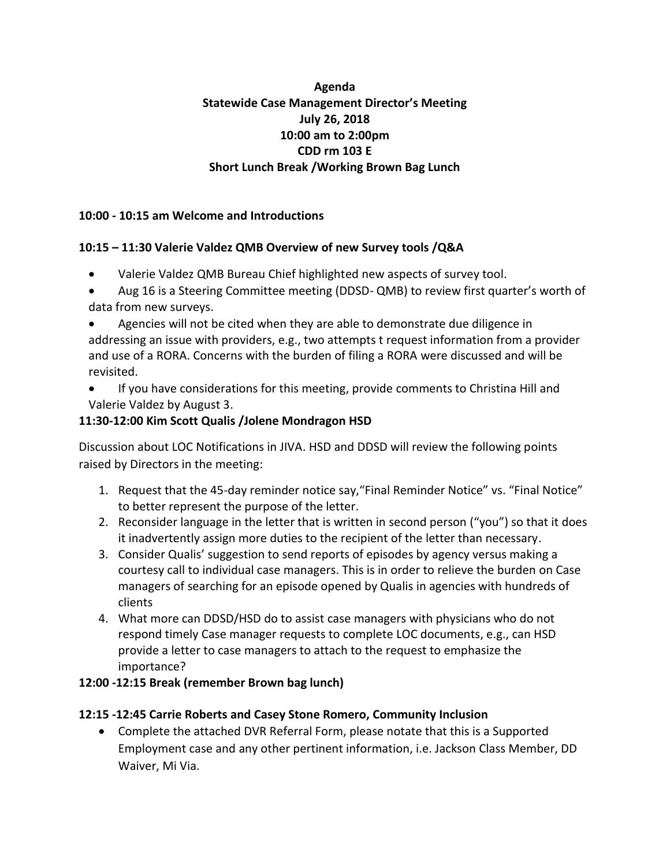# **Agenda Statewide Case Management Director's Meeting July 26, 2018 10:00 am to 2:00pm CDD rm 103 E Short Lunch Break /Working Brown Bag Lunch**

## **10:00 - 10:15 am Welcome and Introductions**

### **10:15 – 11:30 Valerie Valdez QMB Overview of new Survey tools /Q&A**

- Valerie Valdez QMB Bureau Chief highlighted new aspects of survey tool.
- Aug 16 is a Steering Committee meeting (DDSD- QMB) to review first quarter's worth of data from new surveys.
- Agencies will not be cited when they are able to demonstrate due diligence in addressing an issue with providers, e.g., two attempts t request information from a provider and use of a RORA. Concerns with the burden of filing a RORA were discussed and will be revisited.
- If you have considerations for this meeting, provide comments to Christina Hill and Valerie Valdez by August 3.

### **11:30-12:00 Kim Scott Qualis /Jolene Mondragon HSD**

Discussion about LOC Notifications in JIVA. HSD and DDSD will review the following points raised by Directors in the meeting:

- 1. Request that the 45-day reminder notice say,"Final Reminder Notice" vs. "Final Notice" to better represent the purpose of the letter.
- 2. Reconsider language in the letter that is written in second person ("you") so that it does it inadvertently assign more duties to the recipient of the letter than necessary.
- 3. Consider Qualis' suggestion to send reports of episodes by agency versus making a courtesy call to individual case managers. This is in order to relieve the burden on Case managers of searching for an episode opened by Qualis in agencies with hundreds of clients
- 4. What more can DDSD/HSD do to assist case managers with physicians who do not respond timely Case manager requests to complete LOC documents, e.g., can HSD provide a letter to case managers to attach to the request to emphasize the importance?
- **12:00 -12:15 Break (remember Brown bag lunch)**

#### **12:15 -12:45 Carrie Roberts and Casey Stone Romero, Community Inclusion**

• Complete the attached DVR Referral Form, please notate that this is a Supported Employment case and any other pertinent information, i.e. Jackson Class Member, DD Waiver, Mi Via.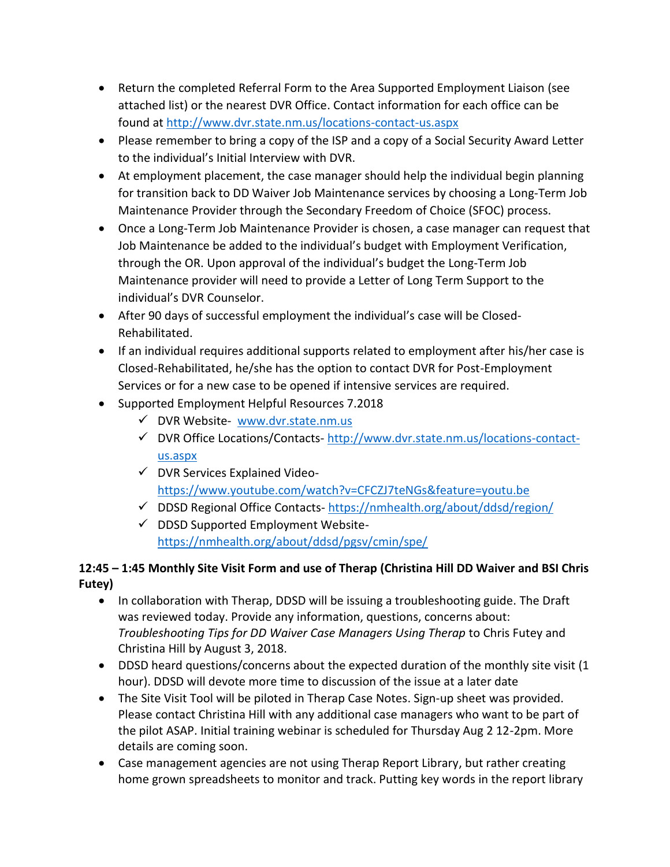- Return the completed Referral Form to the Area Supported Employment Liaison (see attached list) or the nearest DVR Office. Contact information for each office can be found at<http://www.dvr.state.nm.us/locations-contact-us.aspx>
- Please remember to bring a copy of the ISP and a copy of a Social Security Award Letter to the individual's Initial Interview with DVR.
- At employment placement, the case manager should help the individual begin planning for transition back to DD Waiver Job Maintenance services by choosing a Long-Term Job Maintenance Provider through the Secondary Freedom of Choice (SFOC) process.
- Once a Long-Term Job Maintenance Provider is chosen, a case manager can request that Job Maintenance be added to the individual's budget with Employment Verification, through the OR. Upon approval of the individual's budget the Long-Term Job Maintenance provider will need to provide a Letter of Long Term Support to the individual's DVR Counselor.
- After 90 days of successful employment the individual's case will be Closed-Rehabilitated.
- If an individual requires additional supports related to employment after his/her case is Closed-Rehabilitated, he/she has the option to contact DVR for Post-Employment Services or for a new case to be opened if intensive services are required.
- Supported Employment Helpful Resources 7.2018
	- ✓ DVR Website- [www.dvr.state.nm.us](http://www.dvr.state.nm.us/)
	- ✓ DVR Office Locations/Contacts- [http://www.dvr.state.nm.us/locations-contact](http://www.dvr.state.nm.us/locations-contact-us.aspx)[us.aspx](http://www.dvr.state.nm.us/locations-contact-us.aspx)
	- $\checkmark$  DVR Services Explained Video<https://www.youtube.com/watch?v=CFCZJ7teNGs&feature=youtu.be>
	- $\checkmark$  DDSD Regional Office Contacts- <https://nmhealth.org/about/ddsd/region/>
	- ✓ DDSD Supported Employment Website<https://nmhealth.org/about/ddsd/pgsv/cmin/spe/>

# **12:45 – 1:45 Monthly Site Visit Form and use of Therap (Christina Hill DD Waiver and BSI Chris Futey)**

- In collaboration with Therap, DDSD will be issuing a troubleshooting guide. The Draft was reviewed today. Provide any information, questions, concerns about: *Troubleshooting Tips for DD Waiver Case Managers Using Therap* to Chris Futey and Christina Hill by August 3, 2018.
- DDSD heard questions/concerns about the expected duration of the monthly site visit (1) hour). DDSD will devote more time to discussion of the issue at a later date
- The Site Visit Tool will be piloted in Therap Case Notes. Sign-up sheet was provided. Please contact Christina Hill with any additional case managers who want to be part of the pilot ASAP. Initial training webinar is scheduled for Thursday Aug 2 12-2pm. More details are coming soon.
- Case management agencies are not using Therap Report Library, but rather creating home grown spreadsheets to monitor and track. Putting key words in the report library